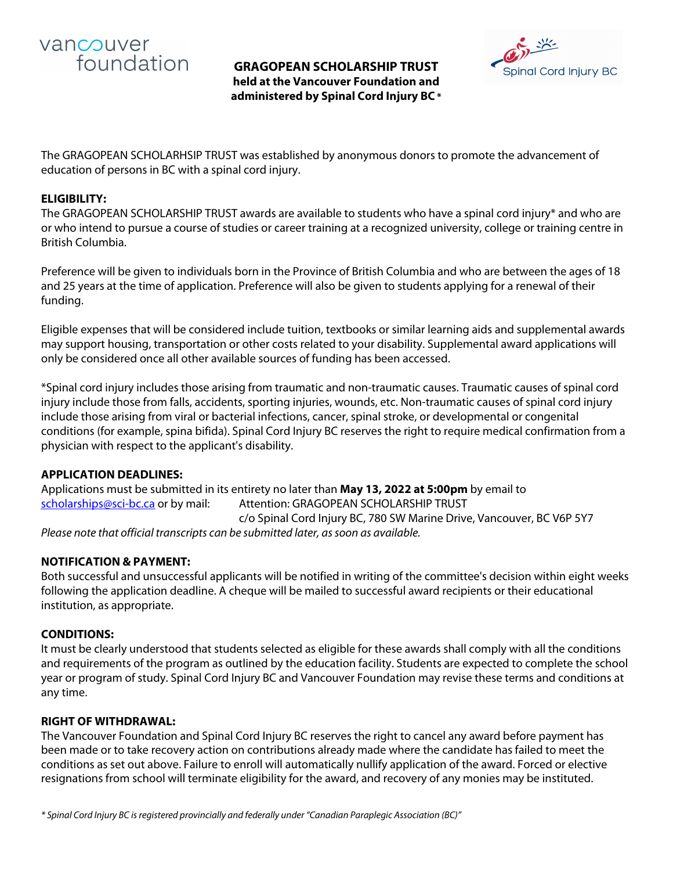

**GRAGOPEAN SCHOLARSHIP TRUST held at the Vancouver Foundation and administered by Spinal Cord Injury BC \***



The GRAGOPEAN SCHOLARHSIP TRUST was established by anonymous donors to promote the advancement of education of persons in BC with a spinal cord injury.

## **ELIGIBILITY:**

The GRAGOPEAN SCHOLARSHIP TRUST awards are available to students who have a spinal cord injury\* and who are or who intend to pursue a course of studies or career training at a recognized university, college or training centre in British Columbia.

Preference will be given to individuals born in the Province of British Columbia and who are between the ages of 18 and 25 years at the time of application. Preference will also be given to students applying for a renewal of their funding.

Eligible expenses that will be considered include tuition, textbooks or similar learning aids and supplemental awards may support housing, transportation or other costs related to your disability. Supplemental award applications will only be considered once all other available sources of funding has been accessed.

\*Spinal cord injury includes those arising from traumatic and non-traumatic causes. Traumatic causes of spinal cord injury include those from falls, accidents, sporting injuries, wounds, etc. Non-traumatic causes of spinal cord injury include those arising from viral or bacterial infections, cancer, spinal stroke, or developmental or congenital conditions (for example, spina bifida). Spinal Cord Injury BC reserves the right to require medical confirmation from a physician with respect to the applicant's disability.

# **APPLICATION DEADLINES:**

Applications must be submitted in its entirety no later than **May 13, 2022 at 5:00pm** by email to [scholarships@sci-bc.ca](mailto:scholarships@sci-bc.ca) or by mail: Attention: GRAGOPEAN SCHOLARSHIP TRUST c/o Spinal Cord Injury BC, 780 SW Marine Drive, Vancouver, BC V6P 5Y7 *Please note that official transcripts can be submitted later, as soon as available.*

# **NOTIFICATION & PAYMENT:**

Both successful and unsuccessful applicants will be notified in writing of the committee's decision within eight weeks following the application deadline. A cheque will be mailed to successful award recipients or their educational institution, as appropriate.

### **CONDITIONS:**

It must be clearly understood that students selected as eligible for these awards shall comply with all the conditions and requirements of the program as outlined by the education facility. Students are expected to complete the school year or program of study. Spinal Cord Injury BC and Vancouver Foundation may revise these terms and conditions at any time.

### **RIGHT OF WITHDRAWAL:**

The Vancouver Foundation and Spinal Cord Injury BC reserves the right to cancel any award before payment has been made or to take recovery action on contributions already made where the candidate has failed to meet the conditions as set out above. Failure to enroll will automatically nullify application of the award. Forced or elective resignations from school will terminate eligibility for the award, and recovery of any monies may be instituted.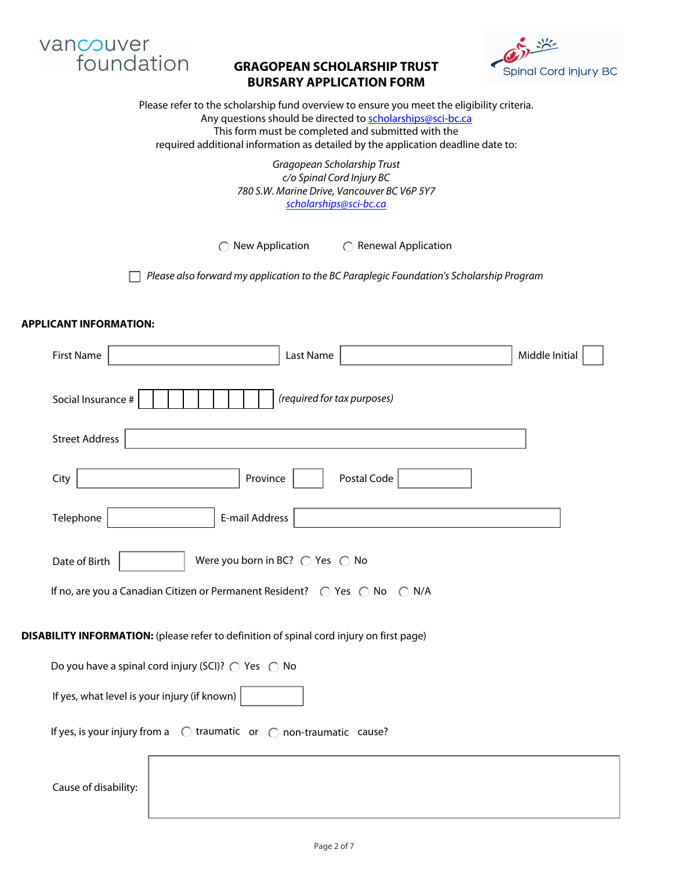

# **GRAGOPEAN SCHOLARSHIP TRUST BURSARY APPLICATION FORM**



Please refer to the scholarship fund overview to ensure you meet the eligibility criteria. Any questions should be directed to [scholarships@sci-bc.ca](mailto:scholarships@sci-bc.ca) This form must be completed and submitted with the required additional information as detailed by the application deadline date to:

> *Gragopean Scholarship Trust c/o Spinal Cord Injury BC 780 S.W. Marine Drive, Vancouver BC V6P 5Y7 [scholarships@sci-bc.ca](mailto:scholarships@sci-bc.ca)*

 $\bigcirc$  New Application  $\bigcirc$  Renewal Application

 *Please also forward my application to the BC Paraplegic Foundation's Scholarship Program*

### **APPLICANT INFORMATION:**

| <b>First Name</b>                                |                                                                                                 | Last Name                   |             | Middle Initial |  |  |
|--------------------------------------------------|-------------------------------------------------------------------------------------------------|-----------------------------|-------------|----------------|--|--|
| Social Insurance #                               |                                                                                                 | (required for tax purposes) |             |                |  |  |
| <b>Street Address</b>                            |                                                                                                 |                             |             |                |  |  |
| City                                             | Province                                                                                        |                             | Postal Code |                |  |  |
| Telephone                                        | E-mail Address                                                                                  |                             |             |                |  |  |
| Date of Birth                                    | Were you born in BC? $\bigcirc$ Yes $\bigcirc$ No                                               |                             |             |                |  |  |
|                                                  | If no, are you a Canadian Citizen or Permanent Resident?  ○ Yes ○ No ○ N/A                      |                             |             |                |  |  |
|                                                  | <b>DISABILITY INFORMATION:</b> (please refer to definition of spinal cord injury on first page) |                             |             |                |  |  |
|                                                  | Do you have a spinal cord injury (SCI)? $\bigcirc$ Yes $\bigcirc$ No                            |                             |             |                |  |  |
| If yes, what level is your injury (if known) $ $ |                                                                                                 |                             |             |                |  |  |
|                                                  | If yes, is your injury from a $\bigcirc$ traumatic or $\bigcirc$ non-traumatic cause?           |                             |             |                |  |  |
| Cause of disability:                             |                                                                                                 |                             |             |                |  |  |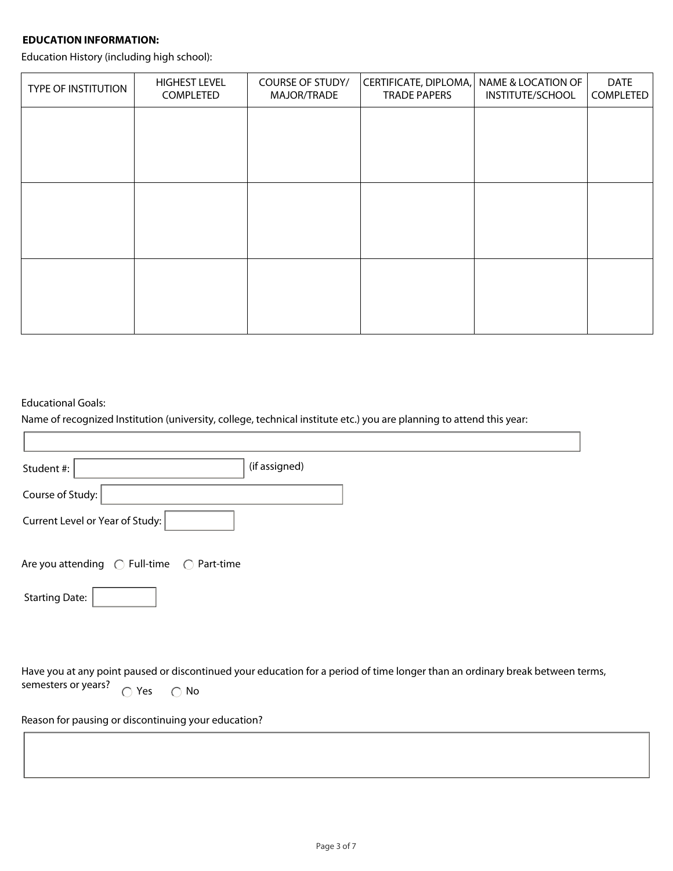## **EDUCATION INFORMATION:**

Education History (including high school):

| <b>TYPE OF INSTITUTION</b> | <b>HIGHEST LEVEL</b><br>COMPLETED | COURSE OF STUDY/<br>MAJOR/TRADE | CERTIFICATE, DIPLOMA,<br><b>TRADE PAPERS</b> | NAME & LOCATION OF<br>INSTITUTE/SCHOOL | <b>DATE</b><br>COMPLETED |
|----------------------------|-----------------------------------|---------------------------------|----------------------------------------------|----------------------------------------|--------------------------|
|                            |                                   |                                 |                                              |                                        |                          |
|                            |                                   |                                 |                                              |                                        |                          |
|                            |                                   |                                 |                                              |                                        |                          |
|                            |                                   |                                 |                                              |                                        |                          |
|                            |                                   |                                 |                                              |                                        |                          |
|                            |                                   |                                 |                                              |                                        |                          |

# Educational Goals:

 $\overline{\Gamma}$ 

Name of recognized Institution (university, college, technical institute etc.) you are planning to attend this year:

| (if assigned)<br>Student #:                                                                                                                                                           |
|---------------------------------------------------------------------------------------------------------------------------------------------------------------------------------------|
| Course of Study:                                                                                                                                                                      |
| Current Level or Year of Study:                                                                                                                                                       |
| Are you attending $\bigcirc$ Full-time $\bigcirc$ Part-time                                                                                                                           |
| <b>Starting Date:</b>                                                                                                                                                                 |
|                                                                                                                                                                                       |
| Have you at any point paused or discontinued your education for a period of time longer than an ordinary break between terms,<br>semesters or years?<br>$\bigcap$ Yes<br>$\bigcap$ No |
| Reason for pausing or discontinuing your education?                                                                                                                                   |
|                                                                                                                                                                                       |
|                                                                                                                                                                                       |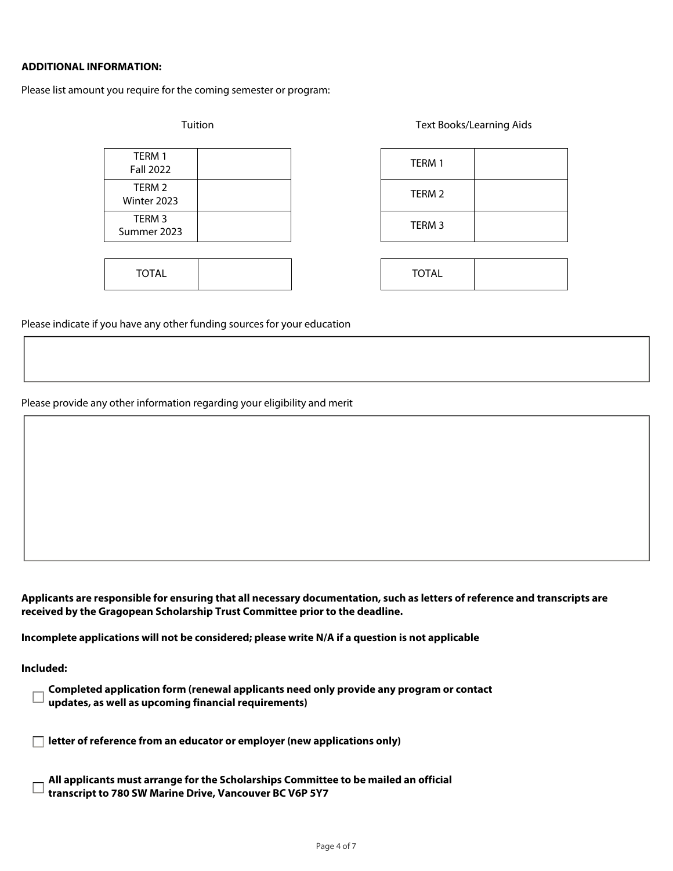#### **ADDITIONAL INFORMATION:**

Please list amount you require for the coming semester or program:

|  | uition |  |
|--|--------|--|
|  |        |  |

TERM 1 Fall 2022 TERM 2 Winter 2023 TERM 3 Summer 2023

| <b>TOTAL</b> |  | <b>TOTAL</b> |
|--------------|--|--------------|
|              |  |              |

| <b>Text Books/Learning Aids</b> |
|---------------------------------|
|                                 |

TERM 1 TERM 2 TERM 3

Please indicate if you have any other funding sources for your education

Please provide any other information regarding your eligibility and merit

**Applicants are responsible for ensuring that all necessary documentation, such as letters of reference and transcripts are received by the Gragopean Scholarship Trust Committee prior to the deadline.** 

**Incomplete applications will not be considered; please write N/A if a question is not applicable**

**Included:**

| $\Box$ Completed application form (renewal applicants need only provide any program or contact |  |  |  |
|------------------------------------------------------------------------------------------------|--|--|--|
| $\Box$ updates, as well as upcoming financial requirements)                                    |  |  |  |

**letter of reference from an educator or employer (new applications only)**

| $\Box$ All applicants must arrange for the Scholarships Committee to be mailed an official |
|--------------------------------------------------------------------------------------------|
| $\Box$ transcript to 780 SW Marine Drive, Vancouver BC V6P 5Y7                             |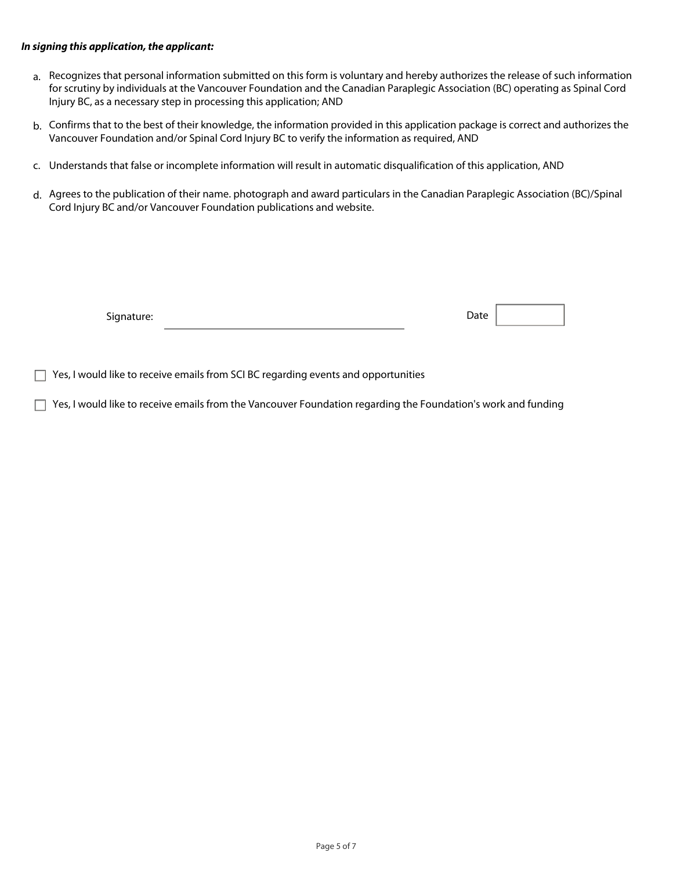#### *In signing this application, the applicant:*

- a. Recognizes that personal information submitted on this form is voluntary and hereby authorizes the release of such information for scrutiny by individuals at the Vancouver Foundation and the Canadian Paraplegic Association (BC) operating as Spinal Cord Injury BC, as a necessary step in processing this application; AND
- b. Confirms that to the best of their knowledge, the information provided in this application package is correct and authorizes the Vancouver Foundation and/or Spinal Cord Injury BC to verify the information as required, AND
- c. Understands that false or incomplete information will result in automatic disqualification of this application, AND
- d. Agrees to the publication of their name. photograph and award particulars in the Canadian Paraplegic Association (BC)/Spinal Cord Injury BC and/or Vancouver Foundation publications and website.

| Signature: | Date |  |
|------------|------|--|
|            |      |  |

 $\Box$  Yes, I would like to receive emails from SCI BC regarding events and opportunities

 $\Box$  Yes, I would like to receive emails from the Vancouver Foundation regarding the Foundation's work and funding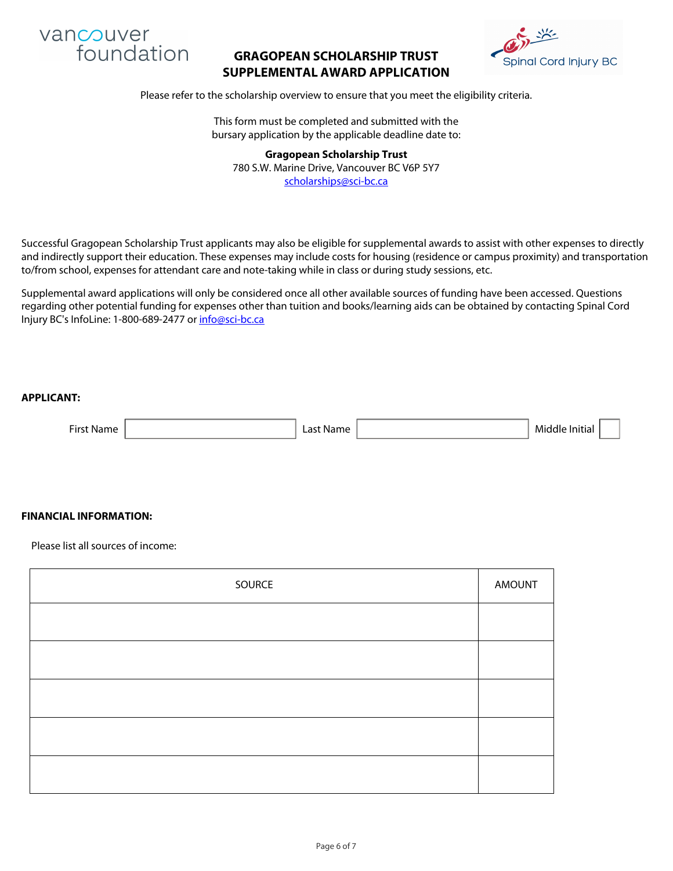

# **GRAGOPEAN SCHOLARSHIP TRUST SUPPLEMENTAL AWARD APPLICATION**



Please refer to the scholarship overview to ensure that you meet the eligibility criteria.

This form must be completed and submitted with the bursary application by the applicable deadline date to:

**Gragopean Scholarship Trust**  780 S.W. Marine Drive, Vancouver BC V6P 5Y7 [scholarships@sci-bc.ca](mailto:scholarships@sci-bc.ca)

Successful Gragopean Scholarship Trust applicants may also be eligible for supplemental awards to assist with other expenses to directly and indirectly support their education. These expenses may include costs for housing (residence or campus proximity) and transportation to/from school, expenses for attendant care and note-taking while in class or during study sessions, etc.

Supplemental award applications will only be considered once all other available sources of funding have been accessed. Questions regarding other potential funding for expenses other than tuition and books/learning aids can be obtained by contacting Spinal Cord Injury BC's InfoLine: 1-800-689-2477 or [info@sci-bc.ca](mailto:info@sci-bc.ca)

#### **APPLICANT:**

| $- \cdot$<br>.<br>. | $\sim$<br>. | WU 14<br>. |  |
|---------------------|-------------|------------|--|
|                     |             |            |  |

#### **FINANCIAL INFORMATION:**

Please list all sources of income:

| SOURCE | <b>AMOUNT</b> |
|--------|---------------|
|        |               |
|        |               |
|        |               |
|        |               |
|        |               |